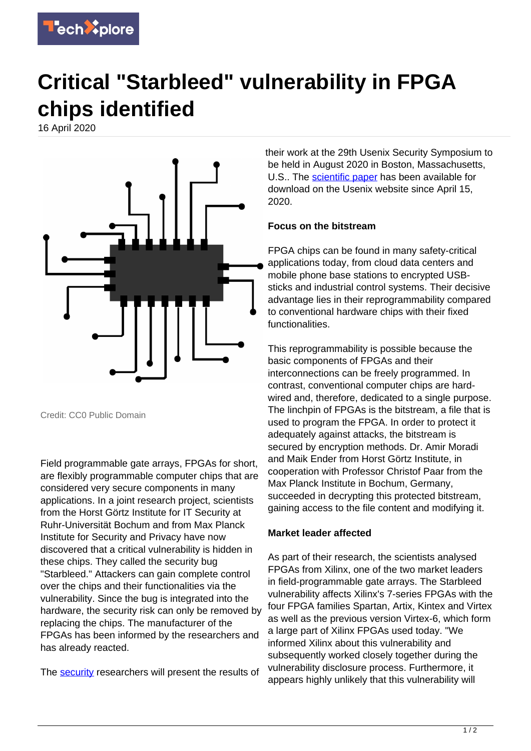

## **Critical "Starbleed" vulnerability in FPGA chips identified**

16 April 2020



Credit: CC0 Public Domain

Field programmable gate arrays, FPGAs for short, are flexibly programmable computer chips that are considered very secure components in many applications. In a joint research project, scientists from the Horst Görtz Institute for IT Security at Ruhr-Universität Bochum and from Max Planck Institute for Security and Privacy have now discovered that a critical vulnerability is hidden in these chips. They called the security bug "Starbleed." Attackers can gain complete control over the chips and their functionalities via the vulnerability. Since the bug is integrated into the hardware, the security risk can only be removed by replacing the chips. The manufacturer of the FPGAs has been informed by the researchers and has already reacted.

The [security](https://techxplore.com/tags/security/) researchers will present the results of

their work at the 29th Usenix Security Symposium to be held in August 2020 in Boston, Massachusetts, U.S.. The [scientific paper](https://techxplore.com/tags/scientific+paper/) has been available for download on the Usenix website since April 15, 2020.

## **Focus on the bitstream**

FPGA chips can be found in many safety-critical applications today, from cloud data centers and mobile phone base stations to encrypted USBsticks and industrial control systems. Their decisive advantage lies in their reprogrammability compared to conventional hardware chips with their fixed functionalities.

This reprogrammability is possible because the basic components of FPGAs and their interconnections can be freely programmed. In contrast, conventional computer chips are hardwired and, therefore, dedicated to a single purpose. The linchpin of FPGAs is the bitstream, a file that is used to program the FPGA. In order to protect it adequately against attacks, the bitstream is secured by encryption methods. Dr. Amir Moradi and Maik Ender from Horst Görtz Institute, in cooperation with Professor Christof Paar from the Max Planck Institute in Bochum, Germany, succeeded in decrypting this protected bitstream, gaining access to the file content and modifying it.

## **Market leader affected**

As part of their research, the scientists analysed FPGAs from Xilinx, one of the two market leaders in field-programmable gate arrays. The Starbleed vulnerability affects Xilinx's 7-series FPGAs with the four FPGA families Spartan, Artix, Kintex and Virtex as well as the previous version Virtex-6, which form a large part of Xilinx FPGAs used today. "We informed Xilinx about this vulnerability and subsequently worked closely together during the vulnerability disclosure process. Furthermore, it appears highly unlikely that this vulnerability will